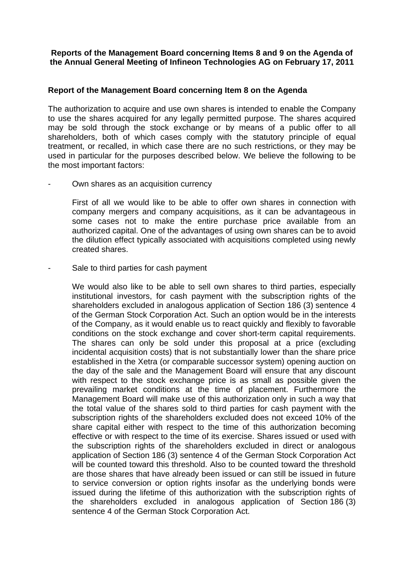## **Reports of the Management Board concerning Items 8 and 9 on the Agenda of the Annual General Meeting of Infineon Technologies AG on February 17, 2011**

## **Report of the Management Board concerning Item 8 on the Agenda**

The authorization to acquire and use own shares is intended to enable the Company to use the shares acquired for any legally permitted purpose. The shares acquired may be sold through the stock exchange or by means of a public offer to all shareholders, both of which cases comply with the statutory principle of equal treatment, or recalled, in which case there are no such restrictions, or they may be used in particular for the purposes described below. We believe the following to be the most important factors:

Own shares as an acquisition currency

First of all we would like to be able to offer own shares in connection with company mergers and company acquisitions, as it can be advantageous in some cases not to make the entire purchase price available from an authorized capital. One of the advantages of using own shares can be to avoid the dilution effect typically associated with acquisitions completed using newly created shares.

Sale to third parties for cash payment

We would also like to be able to sell own shares to third parties, especially institutional investors, for cash payment with the subscription rights of the shareholders excluded in analogous application of Section 186 (3) sentence 4 of the German Stock Corporation Act. Such an option would be in the interests of the Company, as it would enable us to react quickly and flexibly to favorable conditions on the stock exchange and cover short-term capital requirements. The shares can only be sold under this proposal at a price (excluding incidental acquisition costs) that is not substantially lower than the share price established in the Xetra (or comparable successor system) opening auction on the day of the sale and the Management Board will ensure that any discount with respect to the stock exchange price is as small as possible given the prevailing market conditions at the time of placement. Furthermore the Management Board will make use of this authorization only in such a way that the total value of the shares sold to third parties for cash payment with the subscription rights of the shareholders excluded does not exceed 10% of the share capital either with respect to the time of this authorization becoming effective or with respect to the time of its exercise. Shares issued or used with the subscription rights of the shareholders excluded in direct or analogous application of Section 186 (3) sentence 4 of the German Stock Corporation Act will be counted toward this threshold. Also to be counted toward the threshold are those shares that have already been issued or can still be issued in future to service conversion or option rights insofar as the underlying bonds were issued during the lifetime of this authorization with the subscription rights of the shareholders excluded in analogous application of Section 186 (3) sentence 4 of the German Stock Corporation Act.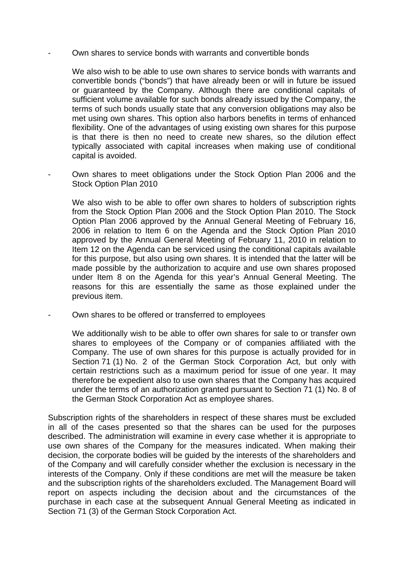- Own shares to service bonds with warrants and convertible bonds

We also wish to be able to use own shares to service bonds with warrants and convertible bonds ("bonds") that have already been or will in future be issued or guaranteed by the Company. Although there are conditional capitals of sufficient volume available for such bonds already issued by the Company, the terms of such bonds usually state that any conversion obligations may also be met using own shares. This option also harbors benefits in terms of enhanced flexibility. One of the advantages of using existing own shares for this purpose is that there is then no need to create new shares, so the dilution effect typically associated with capital increases when making use of conditional capital is avoided.

- Own shares to meet obligations under the Stock Option Plan 2006 and the Stock Option Plan 2010

We also wish to be able to offer own shares to holders of subscription rights from the Stock Option Plan 2006 and the Stock Option Plan 2010. The Stock Option Plan 2006 approved by the Annual General Meeting of February 16, 2006 in relation to Item 6 on the Agenda and the Stock Option Plan 2010 approved by the Annual General Meeting of February 11, 2010 in relation to Item 12 on the Agenda can be serviced using the conditional capitals available for this purpose, but also using own shares. It is intended that the latter will be made possible by the authorization to acquire and use own shares proposed under Item 8 on the Agenda for this year's Annual General Meeting. The reasons for this are essentially the same as those explained under the previous item.

Own shares to be offered or transferred to employees

We additionally wish to be able to offer own shares for sale to or transfer own shares to employees of the Company or of companies affiliated with the Company. The use of own shares for this purpose is actually provided for in Section 71 (1) No. 2 of the German Stock Corporation Act, but only with certain restrictions such as a maximum period for issue of one year. It may therefore be expedient also to use own shares that the Company has acquired under the terms of an authorization granted pursuant to Section 71 (1) No. 8 of the German Stock Corporation Act as employee shares.

Subscription rights of the shareholders in respect of these shares must be excluded in all of the cases presented so that the shares can be used for the purposes described. The administration will examine in every case whether it is appropriate to use own shares of the Company for the measures indicated. When making their decision, the corporate bodies will be guided by the interests of the shareholders and of the Company and will carefully consider whether the exclusion is necessary in the interests of the Company. Only if these conditions are met will the measure be taken and the subscription rights of the shareholders excluded. The Management Board will report on aspects including the decision about and the circumstances of the purchase in each case at the subsequent Annual General Meeting as indicated in Section 71 (3) of the German Stock Corporation Act.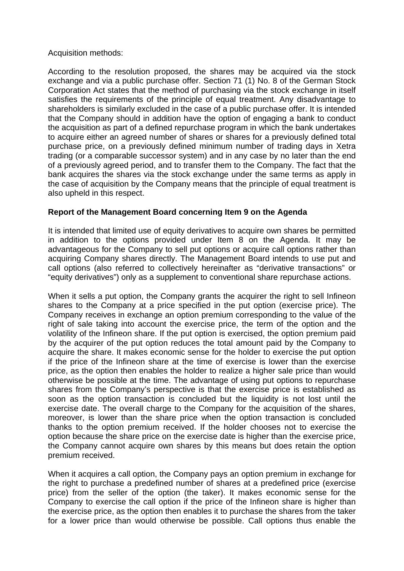## Acquisition methods:

According to the resolution proposed, the shares may be acquired via the stock exchange and via a public purchase offer. Section 71 (1) No. 8 of the German Stock Corporation Act states that the method of purchasing via the stock exchange in itself satisfies the requirements of the principle of equal treatment. Any disadvantage to shareholders is similarly excluded in the case of a public purchase offer. It is intended that the Company should in addition have the option of engaging a bank to conduct the acquisition as part of a defined repurchase program in which the bank undertakes to acquire either an agreed number of shares or shares for a previously defined total purchase price, on a previously defined minimum number of trading days in Xetra trading (or a comparable successor system) and in any case by no later than the end of a previously agreed period, and to transfer them to the Company. The fact that the bank acquires the shares via the stock exchange under the same terms as apply in the case of acquisition by the Company means that the principle of equal treatment is also upheld in this respect.

## **Report of the Management Board concerning Item 9 on the Agenda**

It is intended that limited use of equity derivatives to acquire own shares be permitted in addition to the options provided under Item 8 on the Agenda. It may be advantageous for the Company to sell put options or acquire call options rather than acquiring Company shares directly. The Management Board intends to use put and call options (also referred to collectively hereinafter as "derivative transactions" or "equity derivatives") only as a supplement to conventional share repurchase actions.

When it sells a put option, the Company grants the acquirer the right to sell Infineon shares to the Company at a price specified in the put option (exercise price). The Company receives in exchange an option premium corresponding to the value of the right of sale taking into account the exercise price, the term of the option and the volatility of the Infineon share. If the put option is exercised, the option premium paid by the acquirer of the put option reduces the total amount paid by the Company to acquire the share. It makes economic sense for the holder to exercise the put option if the price of the Infineon share at the time of exercise is lower than the exercise price, as the option then enables the holder to realize a higher sale price than would otherwise be possible at the time. The advantage of using put options to repurchase shares from the Company's perspective is that the exercise price is established as soon as the option transaction is concluded but the liquidity is not lost until the exercise date. The overall charge to the Company for the acquisition of the shares, moreover, is lower than the share price when the option transaction is concluded thanks to the option premium received. If the holder chooses not to exercise the option because the share price on the exercise date is higher than the exercise price, the Company cannot acquire own shares by this means but does retain the option premium received.

When it acquires a call option, the Company pays an option premium in exchange for the right to purchase a predefined number of shares at a predefined price (exercise price) from the seller of the option (the taker). It makes economic sense for the Company to exercise the call option if the price of the Infineon share is higher than the exercise price, as the option then enables it to purchase the shares from the taker for a lower price than would otherwise be possible. Call options thus enable the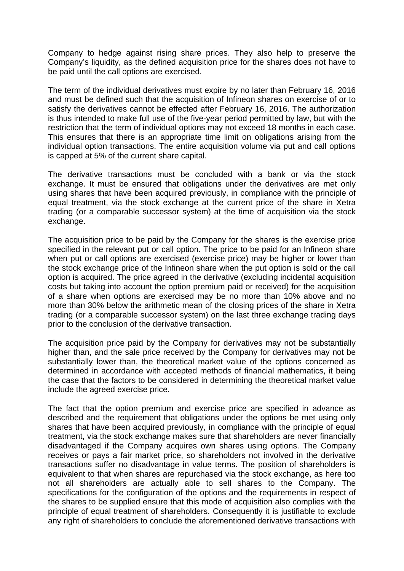Company to hedge against rising share prices. They also help to preserve the Company's liquidity, as the defined acquisition price for the shares does not have to be paid until the call options are exercised.

The term of the individual derivatives must expire by no later than February 16, 2016 and must be defined such that the acquisition of Infineon shares on exercise of or to satisfy the derivatives cannot be effected after February 16, 2016. The authorization is thus intended to make full use of the five-year period permitted by law, but with the restriction that the term of individual options may not exceed 18 months in each case. This ensures that there is an appropriate time limit on obligations arising from the individual option transactions. The entire acquisition volume via put and call options is capped at 5% of the current share capital.

The derivative transactions must be concluded with a bank or via the stock exchange. It must be ensured that obligations under the derivatives are met only using shares that have been acquired previously, in compliance with the principle of equal treatment, via the stock exchange at the current price of the share in Xetra trading (or a comparable successor system) at the time of acquisition via the stock exchange.

The acquisition price to be paid by the Company for the shares is the exercise price specified in the relevant put or call option. The price to be paid for an Infineon share when put or call options are exercised (exercise price) may be higher or lower than the stock exchange price of the Infineon share when the put option is sold or the call option is acquired. The price agreed in the derivative (excluding incidental acquisition costs but taking into account the option premium paid or received) for the acquisition of a share when options are exercised may be no more than 10% above and no more than 30% below the arithmetic mean of the closing prices of the share in Xetra trading (or a comparable successor system) on the last three exchange trading days prior to the conclusion of the derivative transaction.

The acquisition price paid by the Company for derivatives may not be substantially higher than, and the sale price received by the Company for derivatives may not be substantially lower than, the theoretical market value of the options concerned as determined in accordance with accepted methods of financial mathematics, it being the case that the factors to be considered in determining the theoretical market value include the agreed exercise price.

The fact that the option premium and exercise price are specified in advance as described and the requirement that obligations under the options be met using only shares that have been acquired previously, in compliance with the principle of equal treatment, via the stock exchange makes sure that shareholders are never financially disadvantaged if the Company acquires own shares using options. The Company receives or pays a fair market price, so shareholders not involved in the derivative transactions suffer no disadvantage in value terms. The position of shareholders is equivalent to that when shares are repurchased via the stock exchange, as here too not all shareholders are actually able to sell shares to the Company. The specifications for the configuration of the options and the requirements in respect of the shares to be supplied ensure that this mode of acquisition also complies with the principle of equal treatment of shareholders. Consequently it is justifiable to exclude any right of shareholders to conclude the aforementioned derivative transactions with